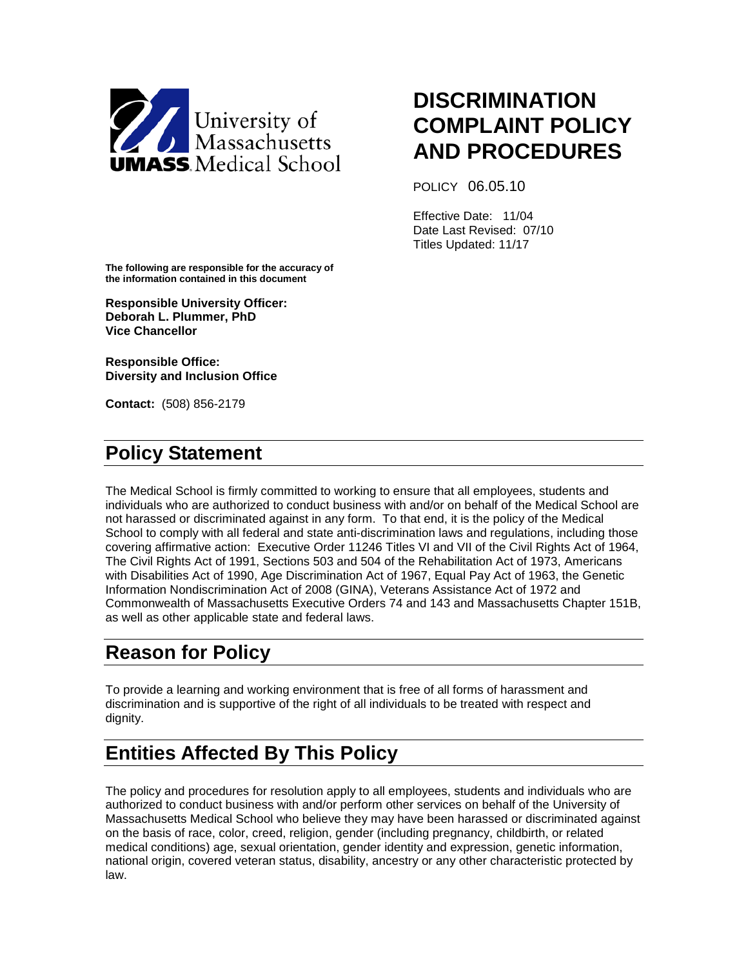

# **DISCRIMINATION COMPLAINT POLICY AND PROCEDURES**

POLICY 06.05.10

Effective Date: 11/04 Date Last Revised: 07/10 Titles Updated: 11/17

**The following are responsible for the accuracy of the information contained in this document**

**Responsible University Officer: Deborah L. Plummer, PhD Vice Chancellor**

**Responsible Office: Diversity and Inclusion Office**

**Contact:** (508) 856-2179

# **Policy Statement**

The Medical School is firmly committed to working to ensure that all employees, students and individuals who are authorized to conduct business with and/or on behalf of the Medical School are not harassed or discriminated against in any form. To that end, it is the policy of the Medical School to comply with all federal and state anti-discrimination laws and regulations, including those covering affirmative action: Executive Order 11246 Titles VI and VII of the Civil Rights Act of 1964, The Civil Rights Act of 1991, Sections 503 and 504 of the Rehabilitation Act of 1973, Americans with Disabilities Act of 1990, Age Discrimination Act of 1967, Equal Pay Act of 1963, the Genetic Information Nondiscrimination Act of 2008 (GINA), Veterans Assistance Act of 1972 and Commonwealth of Massachusetts Executive Orders 74 and 143 and Massachusetts Chapter 151B, as well as other applicable state and federal laws.

# **Reason for Policy**

To provide a learning and working environment that is free of all forms of harassment and discrimination and is supportive of the right of all individuals to be treated with respect and dignity.

# **Entities Affected By This Policy**

The policy and procedures for resolution apply to all employees, students and individuals who are authorized to conduct business with and/or perform other services on behalf of the University of Massachusetts Medical School who believe they may have been harassed or discriminated against on the basis of race, color, creed, religion, gender (including pregnancy, childbirth, or related medical conditions) age, sexual orientation, gender identity and expression, genetic information, national origin, covered veteran status, disability, ancestry or any other characteristic protected by law.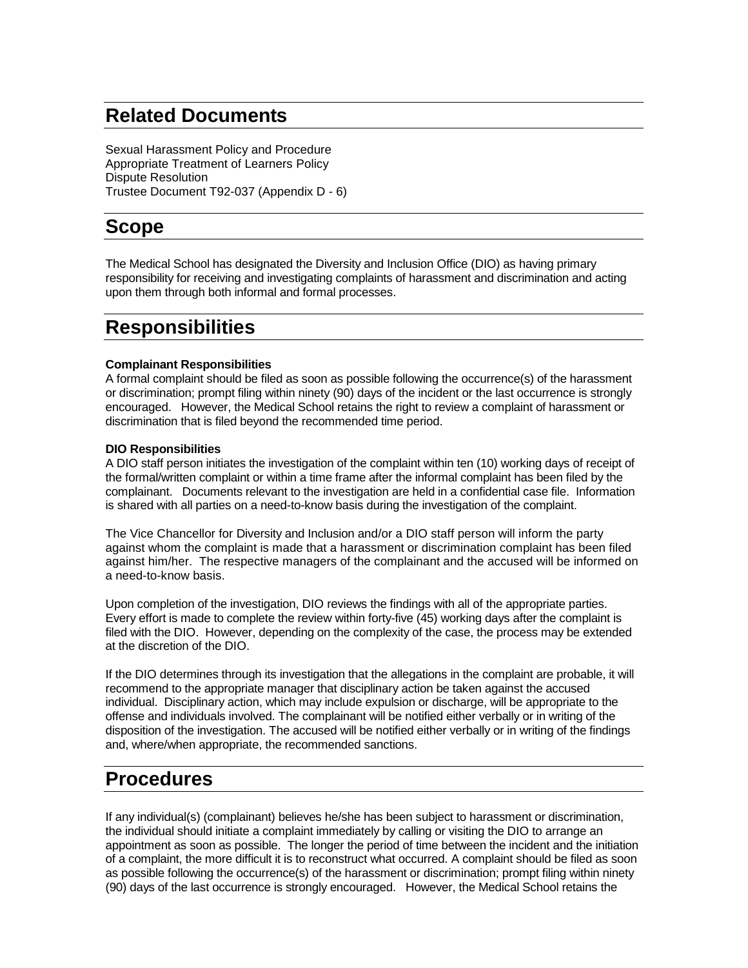# **Related Documents**

Sexual Harassment Policy and Procedure Appropriate Treatment of Learners Policy Dispute Resolution Trustee Document T92-037 (Appendix D - 6)

# **Scope**

The Medical School has designated the Diversity and Inclusion Office (DIO) as having primary responsibility for receiving and investigating complaints of harassment and discrimination and acting upon them through both informal and formal processes.

# **Responsibilities**

#### **Complainant Responsibilities**

A formal complaint should be filed as soon as possible following the occurrence(s) of the harassment or discrimination; prompt filing within ninety (90) days of the incident or the last occurrence is strongly encouraged. However, the Medical School retains the right to review a complaint of harassment or discrimination that is filed beyond the recommended time period.

#### **DIO Responsibilities**

A DIO staff person initiates the investigation of the complaint within ten (10) working days of receipt of the formal/written complaint or within a time frame after the informal complaint has been filed by the complainant. Documents relevant to the investigation are held in a confidential case file. Information is shared with all parties on a need-to-know basis during the investigation of the complaint.

The Vice Chancellor for Diversity and Inclusion and/or a DIO staff person will inform the party against whom the complaint is made that a harassment or discrimination complaint has been filed against him/her. The respective managers of the complainant and the accused will be informed on a need-to-know basis.

Upon completion of the investigation, DIO reviews the findings with all of the appropriate parties. Every effort is made to complete the review within forty-five (45) working days after the complaint is filed with the DIO. However, depending on the complexity of the case, the process may be extended at the discretion of the DIO.

If the DIO determines through its investigation that the allegations in the complaint are probable, it will recommend to the appropriate manager that disciplinary action be taken against the accused individual. Disciplinary action, which may include expulsion or discharge, will be appropriate to the offense and individuals involved. The complainant will be notified either verbally or in writing of the disposition of the investigation. The accused will be notified either verbally or in writing of the findings and, where/when appropriate, the recommended sanctions.

### **Procedures**

If any individual(s) (complainant) believes he/she has been subject to harassment or discrimination, the individual should initiate a complaint immediately by calling or visiting the DIO to arrange an appointment as soon as possible. The longer the period of time between the incident and the initiation of a complaint, the more difficult it is to reconstruct what occurred. A complaint should be filed as soon as possible following the occurrence(s) of the harassment or discrimination; prompt filing within ninety (90) days of the last occurrence is strongly encouraged. However, the Medical School retains the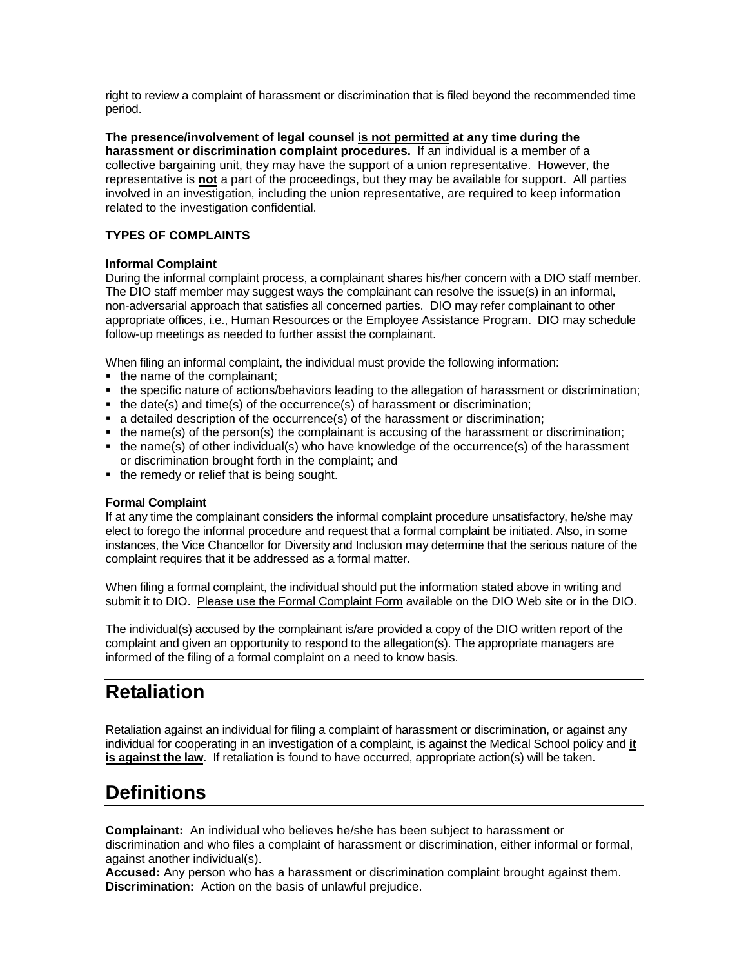right to review a complaint of harassment or discrimination that is filed beyond the recommended time period.

**The presence/involvement of legal counsel is not permitted at any time during the harassment or discrimination complaint procedures.** If an individual is a member of a collective bargaining unit, they may have the support of a union representative. However, the representative is **not** a part of the proceedings, but they may be available for support. All parties involved in an investigation, including the union representative, are required to keep information related to the investigation confidential.

#### **TYPES OF COMPLAINTS**

#### **Informal Complaint**

During the informal complaint process, a complainant shares his/her concern with a DIO staff member. The DIO staff member may suggest ways the complainant can resolve the issue(s) in an informal, non-adversarial approach that satisfies all concerned parties. DIO may refer complainant to other appropriate offices, i.e., Human Resources or the Employee Assistance Program. DIO may schedule follow-up meetings as needed to further assist the complainant.

When filing an informal complaint, the individual must provide the following information:

- the name of the complainant;
- the specific nature of actions/behaviors leading to the allegation of harassment or discrimination;
- $\blacksquare$  the date(s) and time(s) of the occurrence(s) of harassment or discrimination;
- a detailed description of the occurrence(s) of the harassment or discrimination;
- $\blacksquare$  the name(s) of the person(s) the complainant is accusing of the harassment or discrimination;
- the name(s) of other individual(s) who have knowledge of the occurrence(s) of the harassment or discrimination brought forth in the complaint; and
- the remedy or relief that is being sought.

#### **Formal Complaint**

If at any time the complainant considers the informal complaint procedure unsatisfactory, he/she may elect to forego the informal procedure and request that a formal complaint be initiated. Also, in some instances, the Vice Chancellor for Diversity and Inclusion may determine that the serious nature of the complaint requires that it be addressed as a formal matter.

When filing a formal complaint, the individual should put the information stated above in writing and submit it to DIO. Please use the Formal Complaint Form available on the DIO Web site or in the DIO.

The individual(s) accused by the complainant is/are provided a copy of the DIO written report of the complaint and given an opportunity to respond to the allegation(s). The appropriate managers are informed of the filing of a formal complaint on a need to know basis.

### **Retaliation**

Retaliation against an individual for filing a complaint of harassment or discrimination, or against any individual for cooperating in an investigation of a complaint, is against the Medical School policy and **it is against the law**. If retaliation is found to have occurred, appropriate action(s) will be taken.

### **Definitions**

**Complainant:** An individual who believes he/she has been subject to harassment or discrimination and who files a complaint of harassment or discrimination, either informal or formal, against another individual(s).

**Accused:** Any person who has a harassment or discrimination complaint brought against them. **Discrimination:** Action on the basis of unlawful prejudice.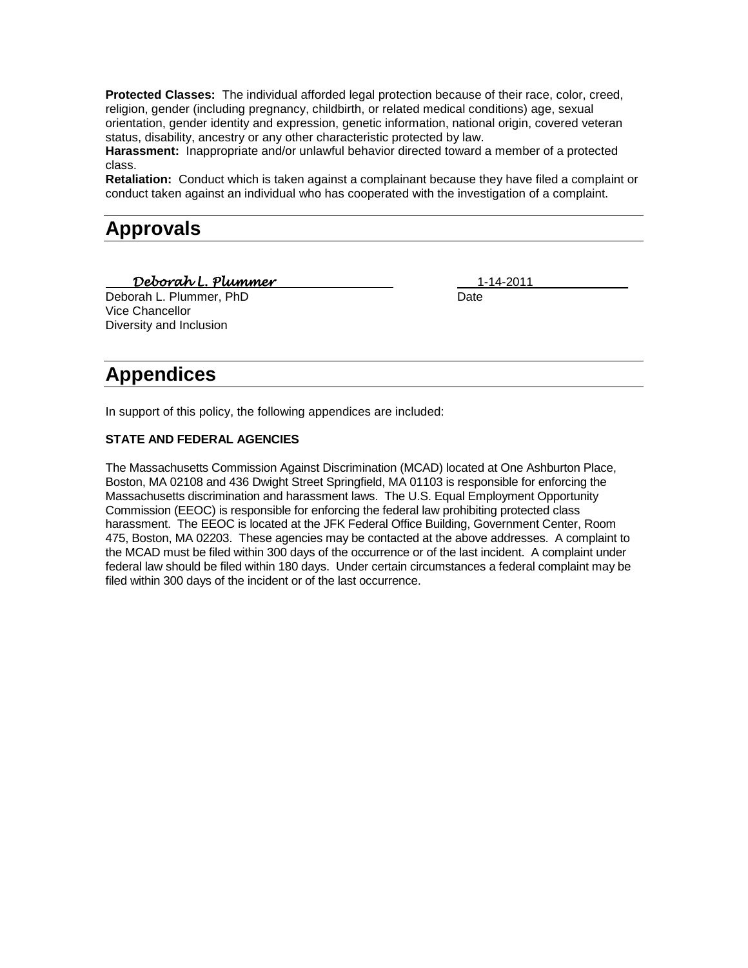**Protected Classes:** The individual afforded legal protection because of their race, color, creed, religion, gender (including pregnancy, childbirth, or related medical conditions) age, sexual orientation, gender identity and expression, genetic information, national origin, covered veteran status, disability, ancestry or any other characteristic protected by law.

**Harassment:** Inappropriate and/or unlawful behavior directed toward a member of a protected class.

**Retaliation:** Conduct which is taken against a complainant because they have filed a complaint or conduct taken against an individual who has cooperated with the investigation of a complaint.

### **Approvals**

*Deborah L. Plummer* 1-14-2011\_\_\_\_\_\_\_\_\_\_\_\_\_\_

Deborah L. Plummer, PhD Date Vice Chancellor Diversity and Inclusion

# **Appendices**

In support of this policy, the following appendices are included:

#### **STATE AND FEDERAL AGENCIES**

The Massachusetts Commission Against Discrimination (MCAD) located at One Ashburton Place, Boston, MA 02108 and 436 Dwight Street Springfield, MA 01103 is responsible for enforcing the Massachusetts discrimination and harassment laws. The U.S. Equal Employment Opportunity Commission (EEOC) is responsible for enforcing the federal law prohibiting protected class harassment. The EEOC is located at the JFK Federal Office Building, Government Center, Room 475, Boston, MA 02203. These agencies may be contacted at the above addresses. A complaint to the MCAD must be filed within 300 days of the occurrence or of the last incident. A complaint under federal law should be filed within 180 days. Under certain circumstances a federal complaint may be filed within 300 days of the incident or of the last occurrence.